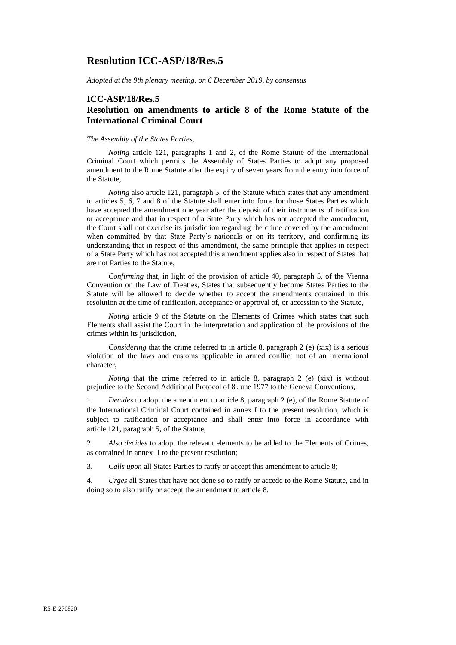## **Resolution ICC-ASP/18/Res.5**

*Adopted at the 9th plenary meeting, on 6 December 2019, by consensus*

#### **ICC-ASP/18/Res.5**

#### **Resolution on amendments to article 8 of the Rome Statute of the International Criminal Court**

#### *The Assembly of the States Parties,*

*Noting* article 121, paragraphs 1 and 2, of the Rome Statute of the International Criminal Court which permits the Assembly of States Parties to adopt any proposed amendment to the Rome Statute after the expiry of seven years from the entry into force of the Statute,

*Noting* also article 121, paragraph 5, of the Statute which states that any amendment to articles 5, 6, 7 and 8 of the Statute shall enter into force for those States Parties which have accepted the amendment one year after the deposit of their instruments of ratification or acceptance and that in respect of a State Party which has not accepted the amendment, the Court shall not exercise its jurisdiction regarding the crime covered by the amendment when committed by that State Party's nationals or on its territory, and confirming its understanding that in respect of this amendment, the same principle that applies in respect of a State Party which has not accepted this amendment applies also in respect of States that are not Parties to the Statute,

*Confirming* that, in light of the provision of article 40, paragraph 5, of the Vienna Convention on the Law of Treaties, States that subsequently become States Parties to the Statute will be allowed to decide whether to accept the amendments contained in this resolution at the time of ratification, acceptance or approval of, or accession to the Statute,

*Noting* article 9 of the Statute on the Elements of Crimes which states that such Elements shall assist the Court in the interpretation and application of the provisions of the crimes within its jurisdiction,

*Considering* that the crime referred to in article 8, paragraph 2 (e) (xix) is a serious violation of the laws and customs applicable in armed conflict not of an international character,

*Noting* that the crime referred to in article 8, paragraph 2 (e)  $(xix)$  is without prejudice to the Second Additional Protocol of 8 June 1977 to the Geneva Conventions,

1. *Decides* to adopt the amendment to article 8, paragraph 2 (e), of the Rome Statute of the International Criminal Court contained in annex I to the present resolution, which is subject to ratification or acceptance and shall enter into force in accordance with article 121, paragraph 5, of the Statute;

2. *Also decides* to adopt the relevant elements to be added to the Elements of Crimes, as contained in annex II to the present resolution;

3. *Calls upon* all States Parties to ratify or accept this amendment to article 8;

4. *Urges* all States that have not done so to ratify or accede to the Rome Statute, and in doing so to also ratify or accept the amendment to article 8.